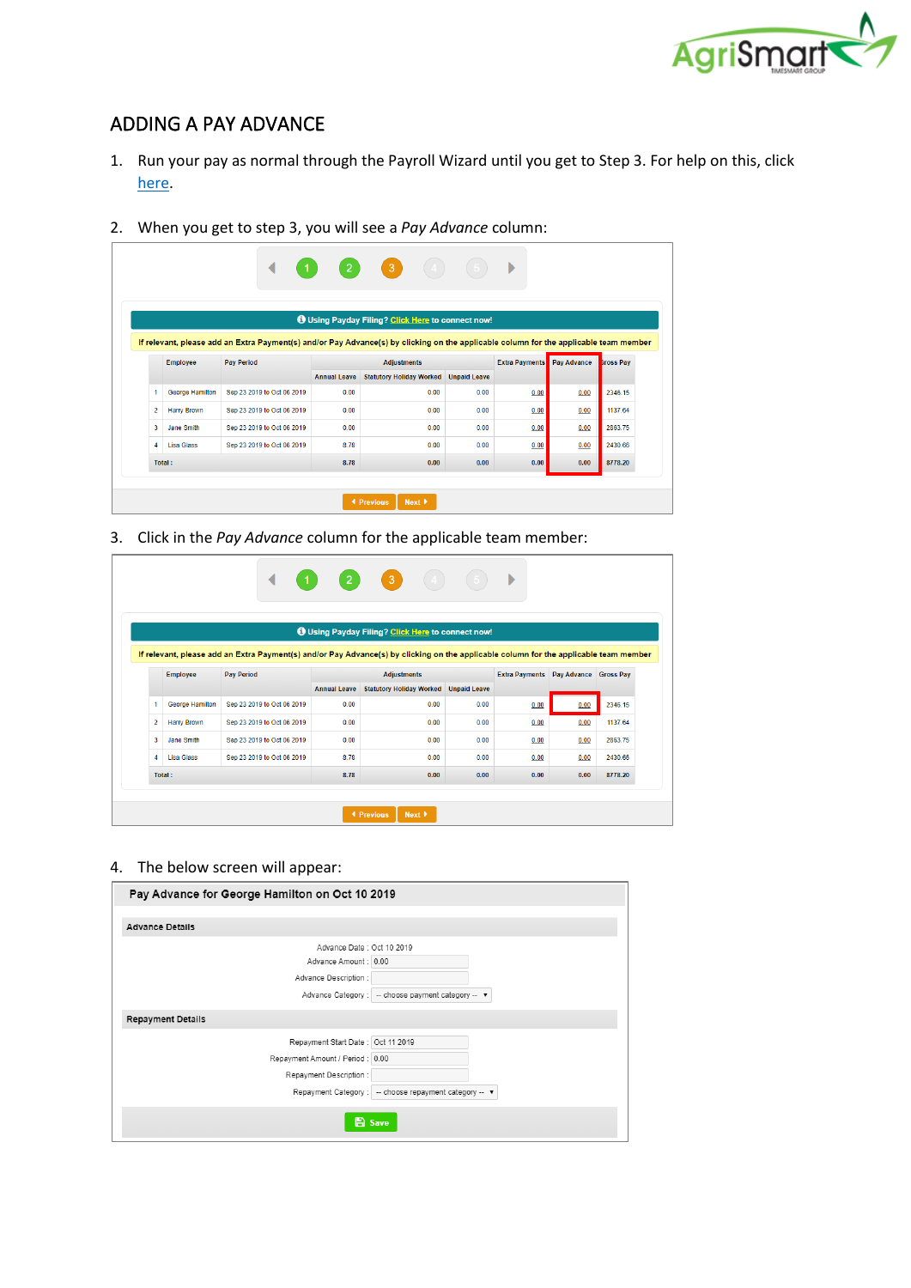

# ADDING A PAY ADVANCE

- 1. Run your pay as normal through the Payroll Wizard until you get to Step 3. For help on this, click [here.](https://c3.timesmart.co.nz/_cms/assets/Uploads/Processing-a-Pay-Run6.pdf)
- 2. When you get to step 3, you will see a *Pay Advance* column:

|   |                    | $\boxed{2}$<br>$\left(3\right)$<br>Þ                                                                                                  |                     |                                                          |                     |                       |             |                  |
|---|--------------------|---------------------------------------------------------------------------------------------------------------------------------------|---------------------|----------------------------------------------------------|---------------------|-----------------------|-------------|------------------|
|   |                    |                                                                                                                                       |                     |                                                          |                     |                       |             |                  |
|   |                    |                                                                                                                                       |                     | <b>O</b> Using Payday Filing? Click Here to connect now! |                     |                       |             |                  |
|   |                    | If relevant, please add an Extra Payment(s) and/or Pay Advance(s) by clicking on the applicable column for the applicable team member |                     |                                                          |                     |                       |             |                  |
|   | <b>Employee</b>    | <b>Pav Period</b>                                                                                                                     |                     | <b>Adjustments</b>                                       |                     | <b>Extra Payments</b> | Pay Advance | <b>Sross Pav</b> |
|   |                    |                                                                                                                                       | <b>Annual Leave</b> | <b>Statutory Holiday Worked</b>                          | <b>Unpaid Leave</b> |                       |             |                  |
|   |                    |                                                                                                                                       |                     |                                                          |                     |                       |             |                  |
| 1 | George Hamilton    | Sep 23 2019 to Oct 06 2019                                                                                                            | 0.00                | 0.00                                                     | 0.00                | 0.00                  | 0.00        | 2346.15          |
| 2 | <b>Harry Brown</b> | Sep 23 2019 to Oct 06 2019                                                                                                            | 0.00                | 0.00                                                     | 0.00                | 0.00                  | 0.00        | 1137.64          |
| 3 | Jane Smith         | Sep 23 2019 to Oct 06 2019                                                                                                            | 0.00                | 0.00                                                     | 0.00                | 0.00                  | 0.00        | 2863.75          |
| 4 | <b>Lisa Glass</b>  | Sep 23 2019 to Oct 06 2019                                                                                                            | 8.78                | 0.00                                                     | 0.00                | 0.00                  | 0.00        | 2430.66          |

3. Click in the *Pay Advance* column for the applicable team member:

|   | $\left  \begin{array}{c} 3 \end{array} \right $<br>$\vert 2 \vert$<br>◀<br>$\blacktriangleleft$ |                                                                                                                                       |                     |                                 |                                   |      |                  |         |  |  |  |
|---|-------------------------------------------------------------------------------------------------|---------------------------------------------------------------------------------------------------------------------------------------|---------------------|---------------------------------|-----------------------------------|------|------------------|---------|--|--|--|
|   | <b>O</b> Using Payday Filing? Click Here to connect now!                                        |                                                                                                                                       |                     |                                 |                                   |      |                  |         |  |  |  |
|   |                                                                                                 | If relevant, please add an Extra Payment(s) and/or Pay Advance(s) by clicking on the applicable column for the applicable team member |                     |                                 |                                   |      |                  |         |  |  |  |
|   | <b>Employee</b>                                                                                 | <b>Pav Period</b>                                                                                                                     |                     | <b>Adjustments</b>              | <b>Extra Payments</b> Pay Advance |      | <b>Gross Pav</b> |         |  |  |  |
|   |                                                                                                 |                                                                                                                                       | <b>Annual Leave</b> | <b>Statutory Holiday Worked</b> | <b>Unpaid Leave</b>               |      |                  |         |  |  |  |
| 1 | George Hamilton                                                                                 | Sep 23 2019 to Oct 06 2019                                                                                                            | 0.00                | 0.00                            | 0.00                              | 0.00 | 0.00             | 2346.15 |  |  |  |
| 2 | <b>Harry Brown</b>                                                                              | Sep 23 2019 to Oct 06 2019                                                                                                            | 0.00                | 0.00                            | 0.00                              | 0.00 | 0.00             | 1137.64 |  |  |  |
| 3 | Jane Smith                                                                                      | Sep 23 2019 to Oct 06 2019                                                                                                            | 0.00                | 0.00                            | 0.00                              | 0.00 | 0.00             | 2863.75 |  |  |  |
| 4 | <b>Lisa Glass</b>                                                                               | Sep 23 2019 to Oct 06 2019                                                                                                            | 8.78                | 0.00                            | 0.00                              | 0.00 | 0.00             | 2430.66 |  |  |  |
|   | Total:                                                                                          |                                                                                                                                       | 8.78                | 0.00                            | 0.00                              | 0.00 | 0.00             | 8778.20 |  |  |  |
|   |                                                                                                 |                                                                                                                                       |                     |                                 |                                   |      |                  |         |  |  |  |

#### 4. The below screen will appear:

| Pay Advance for George Hamilton on Oct 10 2019 |                                                          |
|------------------------------------------------|----------------------------------------------------------|
|                                                |                                                          |
| <b>Advance Details</b>                         |                                                          |
| Advance Date: Oct 10 2019                      |                                                          |
| Advance Amount: 0.00                           |                                                          |
| Advance Description :                          |                                                          |
|                                                | Advance Category : - choose payment category -- ▼        |
| <b>Repayment Details</b>                       |                                                          |
| Repayment Start Date: Oct 11 2019              |                                                          |
| Repayment Amount / Period: 0.00                |                                                          |
| Repayment Description :                        |                                                          |
|                                                | Repayment Category :   -- choose repayment category -- ▼ |
|                                                | <b>El Save</b>                                           |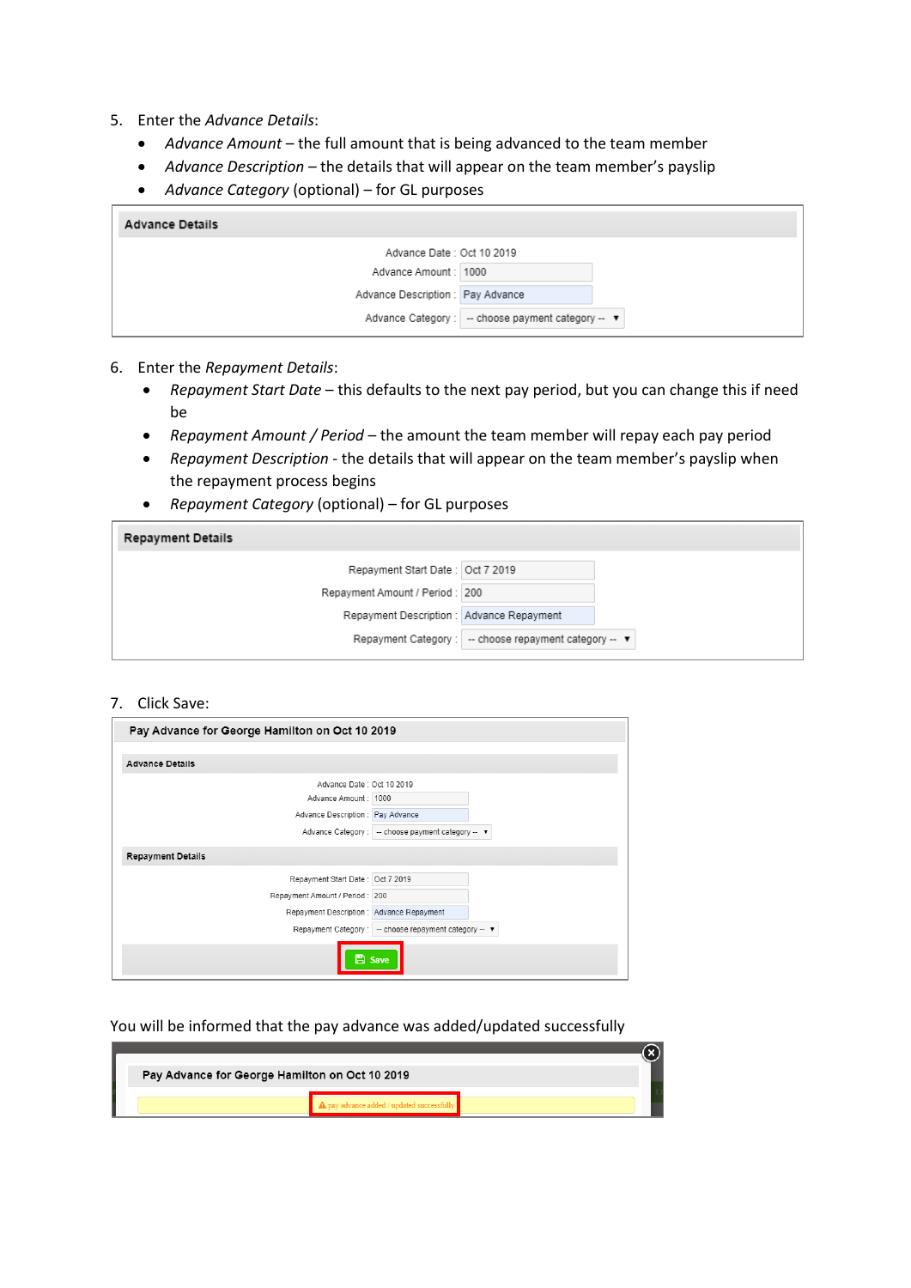- 5. Enter the *Advance Details*:
	- *Advance Amount* the full amount that is being advanced to the team member
	- *Advance Description* the details that will appear on the team member's payslip
	- *Advance Category* (optional) for GL purposes

| <b>Advance Details</b>            |                                                      |
|-----------------------------------|------------------------------------------------------|
| Advance Date: Oct 10 2019         |                                                      |
| Advance Amount: 1000              |                                                      |
| Advance Description : Pay Advance |                                                      |
|                                   | Advance Category :   -- choose payment category -- ▼ |

- 6. Enter the *Repayment Details*:
	- *Repayment Start Date* this defaults to the next pay period, but you can change this if need be
	- *Repayment Amount / Period*  the amount the team member will repay each pay period
	- *Repayment Description* the details that will appear on the team member's payslip when the repayment process begins
	- *Repayment Category* (optional) for GL purposes

| <b>Repayment Details</b>                  |                                                          |
|-------------------------------------------|----------------------------------------------------------|
| Repayment Start Date: Oct 7 2019          |                                                          |
| Repayment Amount / Period: 200            |                                                          |
| Repayment Description : Advance Repayment |                                                          |
|                                           | Repayment Category :   -- choose repayment category -- ▼ |

### 7. Click Save:

| Pay Advance for George Hamilton on Oct 10 2019                              |
|-----------------------------------------------------------------------------|
| <b>Advance Details</b>                                                      |
| Advance Date: Oct 10 2019                                                   |
| Advance Amount: 1000                                                        |
| Advance Description : Pay Advance                                           |
| Advance Category : - choose payment category -- ▼                           |
| <b>Repayment Details</b>                                                    |
| Repayment Start Date: Oct 7 2019                                            |
| Repayment Amount / Period: 200                                              |
| Repayment Description : Advance Repayment                                   |
| Repayment Category:<br>-- choose repayment category -- $\blacktriangledown$ |
| <b>B</b> Save                                                               |

#### You will be informed that the pay advance was added/updated successfully

| Pay Advance for George Hamilton on Oct 10 2019 |  |  |
|------------------------------------------------|--|--|
|                                                |  |  |